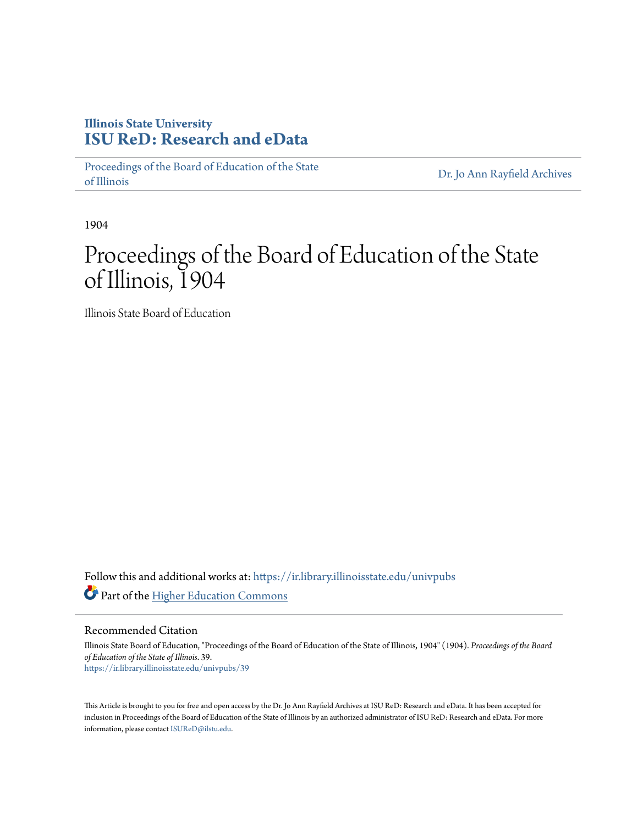# **Illinois State University [ISU ReD: Research and eData](https://ir.library.illinoisstate.edu?utm_source=ir.library.illinoisstate.edu%2Funivpubs%2F39&utm_medium=PDF&utm_campaign=PDFCoverPages)**

[Proceedings of the Board of Education of the State](https://ir.library.illinoisstate.edu/univpubs?utm_source=ir.library.illinoisstate.edu%2Funivpubs%2F39&utm_medium=PDF&utm_campaign=PDFCoverPages) [of Illinois](https://ir.library.illinoisstate.edu/univpubs?utm_source=ir.library.illinoisstate.edu%2Funivpubs%2F39&utm_medium=PDF&utm_campaign=PDFCoverPages)

[Dr. Jo Ann Rayfield Archives](https://ir.library.illinoisstate.edu/arch?utm_source=ir.library.illinoisstate.edu%2Funivpubs%2F39&utm_medium=PDF&utm_campaign=PDFCoverPages)

1904

# Proceedings of the Board of Education of the State of Illinois, 1904

Illinois State Board of Education

Follow this and additional works at: [https://ir.library.illinoisstate.edu/univpubs](https://ir.library.illinoisstate.edu/univpubs?utm_source=ir.library.illinoisstate.edu%2Funivpubs%2F39&utm_medium=PDF&utm_campaign=PDFCoverPages) Part of the [Higher Education Commons](http://network.bepress.com/hgg/discipline/1245?utm_source=ir.library.illinoisstate.edu%2Funivpubs%2F39&utm_medium=PDF&utm_campaign=PDFCoverPages)

Recommended Citation

Illinois State Board of Education, "Proceedings of the Board of Education of the State of Illinois, 1904" (1904). *Proceedings of the Board of Education of the State of Illinois*. 39. [https://ir.library.illinoisstate.edu/univpubs/39](https://ir.library.illinoisstate.edu/univpubs/39?utm_source=ir.library.illinoisstate.edu%2Funivpubs%2F39&utm_medium=PDF&utm_campaign=PDFCoverPages)

This Article is brought to you for free and open access by the Dr. Jo Ann Rayfield Archives at ISU ReD: Research and eData. It has been accepted for inclusion in Proceedings of the Board of Education of the State of Illinois by an authorized administrator of ISU ReD: Research and eData. For more information, please contact [ISUReD@ilstu.edu.](mailto:ISUReD@ilstu.edu)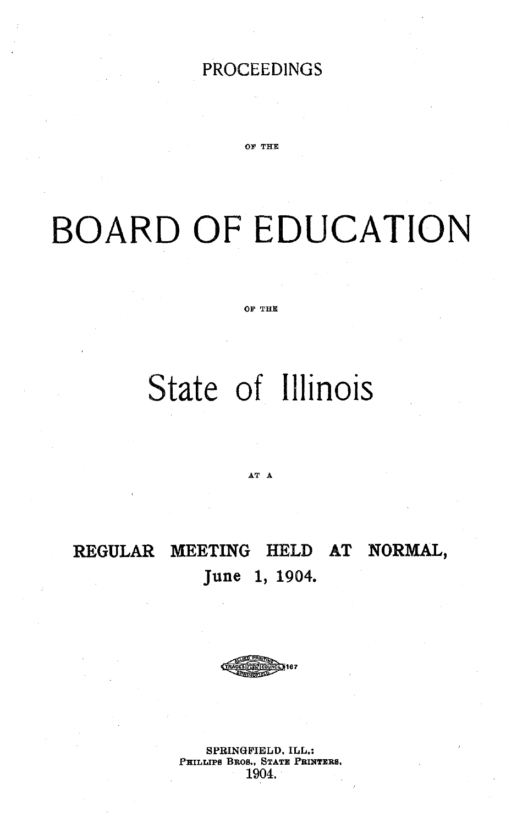## PROCEEDINGS

OF THE

# BOARD OF EDUCATION

OF THE

# State of Illinois

AT A

# REGULAR MEETING HELD **AT NORMAL,** June 1, 1904.



SPRINGFIELD, ILL,: PHILLIPS BROS., STATE PRINTERS, 1904.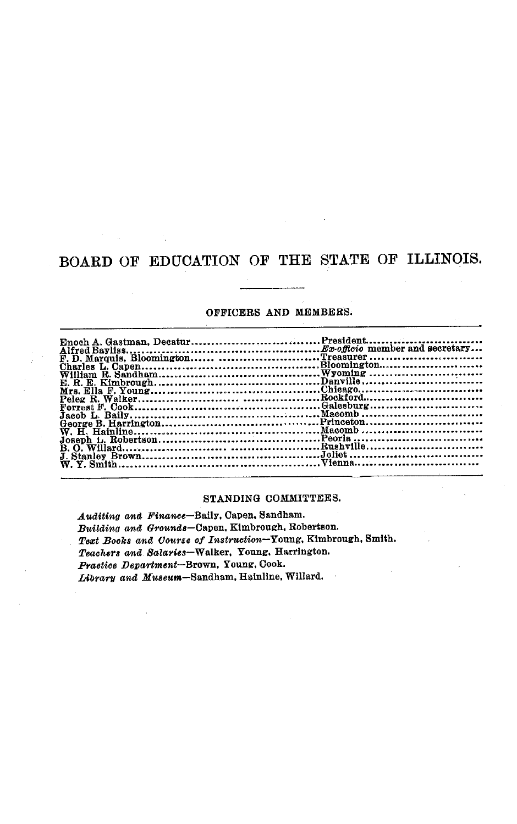## BOARD OF EDUCATION OF THE STATE OF ILLINOIS.

#### OFFICERS AND MEMBERS.

| Enoch A. Gastman, DecaturPresident   |  |
|--------------------------------------|--|
|                                      |  |
| F. D. Marquis. Bloomington Treasurer |  |
|                                      |  |
|                                      |  |
|                                      |  |
|                                      |  |
|                                      |  |
|                                      |  |
|                                      |  |
|                                      |  |
|                                      |  |
|                                      |  |
|                                      |  |
|                                      |  |
|                                      |  |

#### STANDING COMMITTEES.

*Auditing and Finance-Baily,* Capen, Sandham. *Building and Grounds-Capen,* Kimbrough, Robertson. *Text Books and Course of Instruction-Young,* Kimbrough, Smith. *Teachers and Salaries-Walker,* Young. Harrington. *Practice Department-Brown,* Young, Cook. *Library and Museum-Sandham,* Hainline, Willard.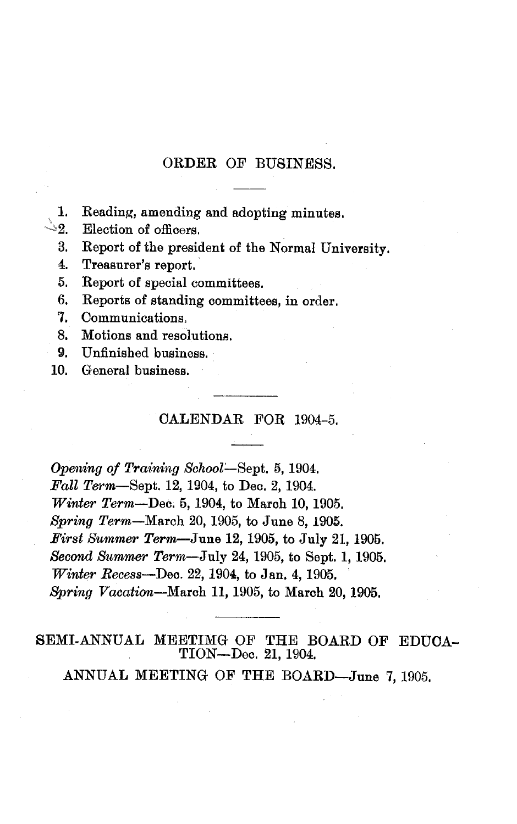### ORDER OF BUSINESS,

- 1. Reading, amending and adopting minutes.
- **2.** Election of officers.
	- 3. Report of the president of the Normal University.
	- 4. Treasurer's report.
	- 5. Report of special committees.
	- 6. Reports of standing committees, in order.
	- 7. Communications,
	- 8. Motions and resolutions.
- 9. Unfinished business.
- 10. General business.

#### CALENDAR FOR 1904-5.

*Opening of Training School-Sept.* 5, 1904. *Fall Term-Sept.* 12, 1904, to Dec. 2, 1904. *Winter Term-Dec.* 5, 1904, to March 10, 1905. *Spring* Term-March 20, 1905, to June 8, 1905. *First Summer Term-June* 12, 1905, to July 21, 1905. *Second Summer Term-July* 24, 1905, to Sept. 1, 1905. *Winter Recess-Dec.* 22, 1904, to Jan. 4, 1905. *Spring Vacation-March* 11, 1905, to March 20, 1905.

SEMI-ANNUAL MEETIMG OF THE BOARD OF EDUCA-TION-Dec. 21, 1904.

ANNUAL MEETING OF THE BOARD-June 7,1905.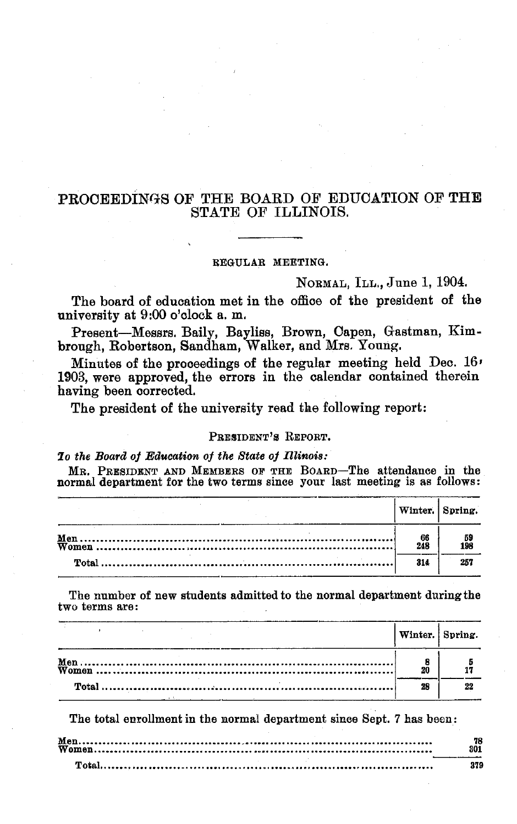### PROCEEDINGS OF THE BOARD OF EDUCATION OF THE STATE OF ILLINOIS.

#### REGULAR MEETING.

NORMAL, ILL., June 1, 1904.

The board of education met in the office of the president of the university at 9:00 o'clock a. m.

Present-Messrs. Baily, Bayliss, Brown, Capen, Gastman, Kimbrough, Robertson, Sandham, Walker, and Mrs. Young.

Minutes of the proceedings of the regular meeting held Dec. 16' 1903, were approved, the errors in the calendar contained therein having been corrected.

The president of the university read the following report:

#### PRESIDENT'S REPORT.

*7o the Board of Education of the State of Illinois:*

MR. PRESIDENT AND MEMBERS OF THE BOARD-The attendance in the normal department for the two terms since your last meeting is as follows:

|             | Winter. Spring.  |
|-------------|------------------|
| - 66<br>248 | $\frac{59}{198}$ |
| 314         | 257              |

The number of new students admitted to the normal department during the two terms are:

| Winter. Spring. |  |
|-----------------|--|
|                 |  |
|                 |  |

The total enrollment in the normal department since Sept. 7 has been:

| 379 |
|-----|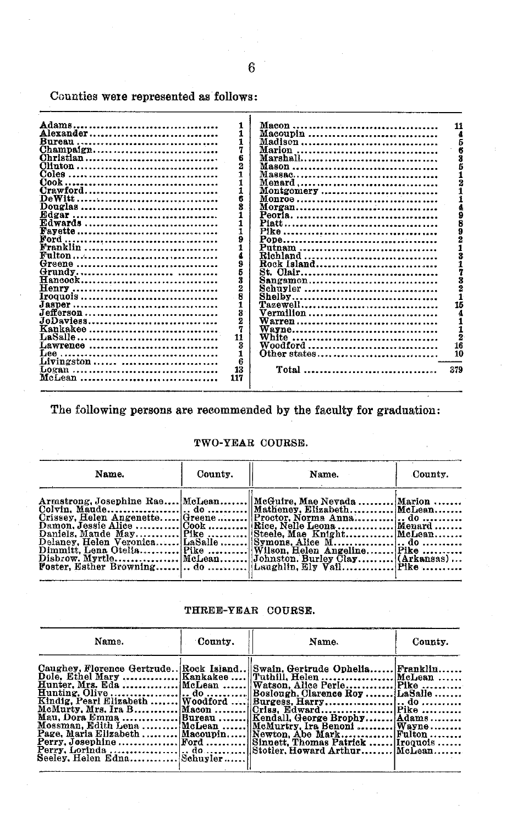Counties were represented as follows:

| Adams.         |              |              | 11  |
|----------------|--------------|--------------|-----|
| Alexander      |              | Macoupin     |     |
| Bureau         |              | Madison      |     |
| Champaign      |              |              |     |
| Christian      |              | Marshall     |     |
|                |              |              |     |
| <b>Coles</b>   |              |              |     |
| $Cook$ .<br>   |              |              |     |
| Crawford       |              | Montgomery   |     |
|                | 6            |              |     |
| Douglas        | 8            | Morgan       |     |
|                |              |              |     |
| Edwards        | 1            |              |     |
| <b>Fayette</b> |              |              |     |
|                |              |              |     |
| Franklin       |              | Putnam       |     |
|                |              |              |     |
|                | 9            | Rock Island  |     |
|                |              | St. Clair    |     |
|                | Ŕ            | Sangamon     |     |
|                | 2            | Schuyler     |     |
|                |              |              |     |
| $J$ asper      | $\mathbf{1}$ |              | 15  |
| Jefferson      | 8            | Vermilion    |     |
| JoDaviess      | 2            |              |     |
| Kankakee       |              |              |     |
|                | 11           |              |     |
| Lawrence       | 3            | Woodford     | 16  |
| Lee            |              | Other states | 10  |
| Livingston     | 6            |              |     |
| Logan          | 13           | Total        | 379 |
| McLean         | 117          |              |     |

The following persons are recommended by the faculty for graduation:

#### TWO-YEAR COURSE.

| Name. | County. | Name.                                                                                                                                                                            | County. |
|-------|---------|----------------------------------------------------------------------------------------------------------------------------------------------------------------------------------|---------|
|       |         | Armstrong, Josephine Rae McLean McGuire, Mae Nevada  Marion<br>Crissey, Helen Angenette Greene  Proctor, Norma Anna do<br>Dimmitt, Lena Otelia Pike  Wilson, Helen Angeline Pike |         |

THREE-YEAR COURSE.

| Name.                       | County. | Name.                                                                                                                                                                                                                                                                                                           | County. |
|-----------------------------|---------|-----------------------------------------------------------------------------------------------------------------------------------------------------------------------------------------------------------------------------------------------------------------------------------------------------------------|---------|
| Seeley. Helen Edna Schuyler |         | Caughey, Florence Gertrude Rock Island  Swain, Gertrude Ophelia Franklin<br>McMurty, Mrs. Ira B Macon   Criss. Edward  Pike<br>Mau, Dora Emma Bureau   Kendall, George Brophy Adams<br>Mossman, Edith Lena  McLean    McMurtry, Ira Benoni    Wayne<br>Page, Maria Elizabeth  Macoupin  Newton, Abe Mark Fulton |         |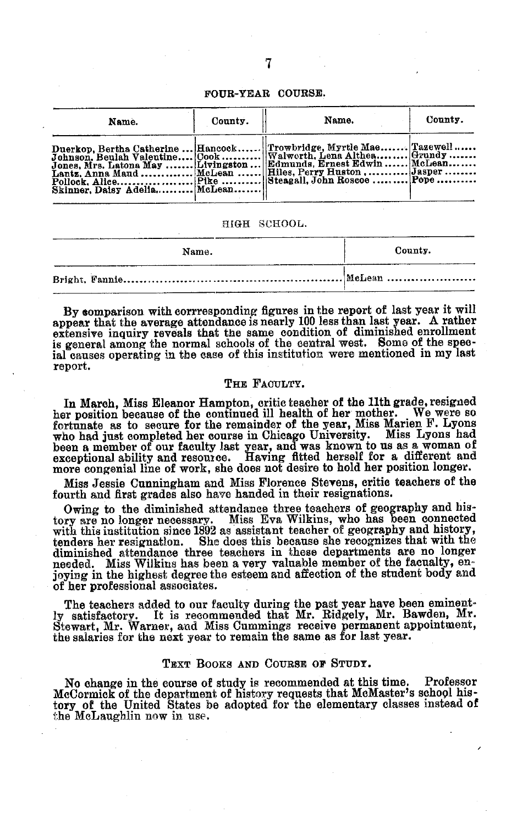#### FOUR-YEAR COURSE.

| Name.                        | County. | Name.                                                                                                                                                                                                                                                                   | County. |
|------------------------------|---------|-------------------------------------------------------------------------------------------------------------------------------------------------------------------------------------------------------------------------------------------------------------------------|---------|
| Skinner, Daisy Adelia McLean |         | Duerkop, Bertha Catherine  Hancock Trowbridge, Myrtle Mae Tazewell<br>Johnson, Beulah Valentine Cook   Walworth, Lena Althea  Grundy<br>Jones, Mrs. Latona May   Livingston   Edmunds, Ernest Edwin   McLean<br>Lantz, Anna Maud  McLean    Hiles. Perry Huston  Jasper |         |

#### HIGH SCHOOL.

| Name. | County. |
|-------|---------|
|       |         |

By comparison with corrresponding figures in the report of last year it will appear that the average attendance is nearly 100 less than last year. A rather extensive inquiry reveals that the same condition of diminished enrollment is general among the normal schools of the central west. Some of the special causes operating in the ease of this institution were mentioned in my last report.

#### THE FACULTY.

In March, Miss Eleanor Hampton, critic teacher of the 11th grade, resigned her position because of the continued ill health of her mother. fortunate as to secure for the remainder of the year, Miss Marien F. Lyons who had just completed her course in Chicago University. Miss Lyons had been a member of our faculty last year, and was known to us as a woman of exceptional ability and resource. Having fitted herself for a different and

Miss Jessie Cunningham and Miss Florence Stevens, critic teachers of the fourth and first grades also have handed in their resignations.

Owing to the diminished attendance three teachers of geography and history are no longer necessary. Miss Eva Wilkins, who has been connected Miss Eva Wilkins, who has been connected with this institution since 1892 as assistant teacher of geography and history, tenders her resignation. She does this because she recognizes that with the She does this because she recognizes that with the diminished attendance three teachers in these departments are no longer needed. Miss Wilkins has been a very valuable member of the facualty,  $en_1$ joying in the highest degree the esteem and affection of the student body and of her professional associates.

The teachers added to our faculty during the past year have been eminent<br>ly satisfactory. It is recommended that Mr. Ridgely, Mr. Bawden, Mr. Stewart, Mr. Warner, and Miss Cummings receive permanent appointment, the salaries for the next year to remain the same as for last year.

#### TEXT BOOKS AND COURSE OF STUDY.

No change in the course of study is recommended at this time. Professor McCormick of the department of history requests that McMaster's school history of the United States be adopted for the elementary classes instead of the McLaughlin now in use.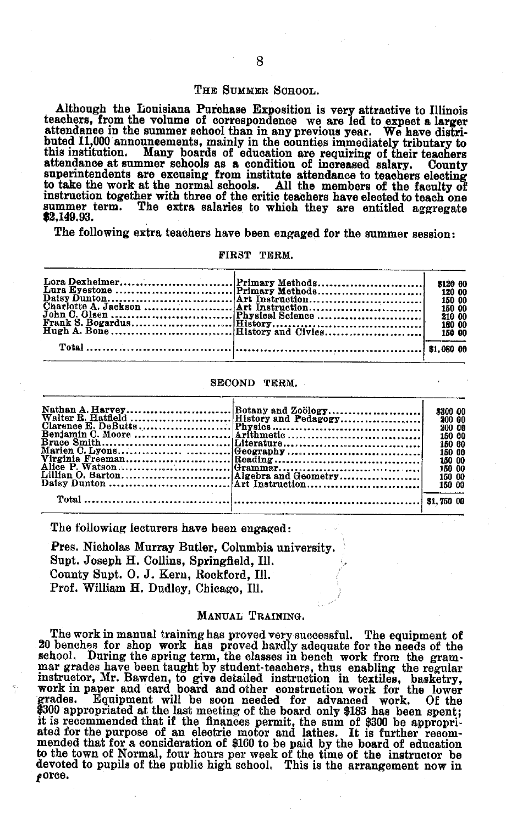#### THE SUMMER SCHOOL.

Although the Louisiana Purchase Exposition is very attractive to Illinois teachers, from the volume of correspondence we are led to expect a larger teachers, from the volume of correspondence we are led to expect a larger attendance in the summer school than in any previous year. We have distributed 11,000 announeements, mainly in the counties immediately tributary to this institution. Many boards of education are requiring of their teachers attendance at summer schools as a condition of increased salary. County superintendents are excusing from institute attendance to teachers electing to take the work at the normal schools. All the members of the faculty of instruction together with three of the critic teachers have elected to teach one summer term. The extra salaries to which they are entitled aggregate \$2,149.93.

The following extra teachers have been engaged for the summer session:

#### FIRST TERM.

|  | 120 00<br>150 00<br>150 00<br>210 00 |
|--|--------------------------------------|
|  |                                      |

#### SECOND TERM.

|  | \$300 00 |
|--|----------|
|  | 200 00   |
|  | 200 00   |
|  | 150 00   |
|  | 150 00   |
|  | 150 00   |
|  | 150 00   |
|  | 150 00   |
|  | 150 00   |
|  | 150 00   |
|  |          |
|  |          |
|  |          |

The following lecturers have been engaged:

Pres. Nicholas Murray Butler, Columbia university. Supt. Joseph H. Collins, Springfield, Ill. County Supt. 0. J. Kern, Rockford, Ill. Prof. William H. Dudley, Chicago, Ill.

#### MANUAL TRAINING.

The work in manual training has proved very successful. The equipment of 20 benches for shop work has proved hardly adequate for the needs of the school. During the spring term, the classes in bench work from the grammar grades have been taught by student teachers, thus enabling the regularitudor, Mr. Bawden, to give detailed instructorn in textiles, basketry, work \$300 appropriated at the last meeting of the board only \$183 has been spent;<br>it is recommended that if the finances permit, the sum of \$300 be appropri-<br>ated for the purpose of an electric motor and lathes. It is further r to the town of Normal, four hours per week of the time of the instructor be devoted to pupils of the public high school. This is the arrangement now in  $\boldsymbol{f}$ orce.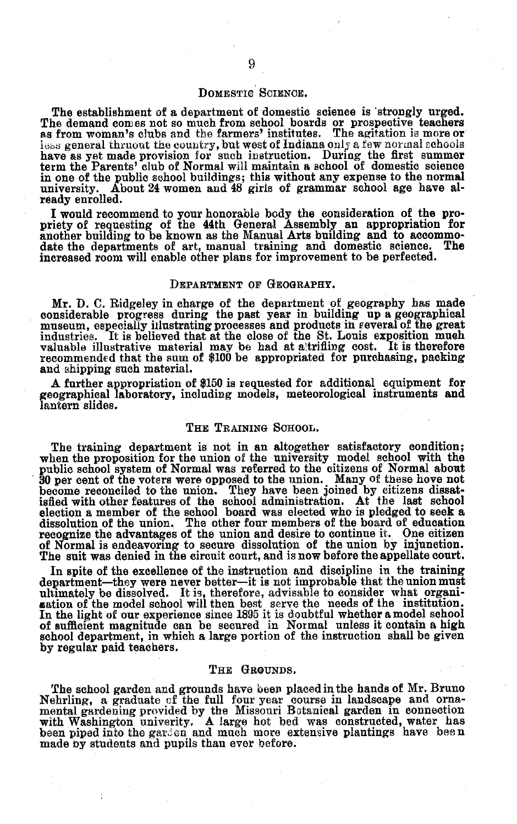#### DOMESTIC SCIENCE.

The establishment of a department of domestic science is 'strongly urged.<br>The demand comes not so much from school boards or prospective teachers as from woman's clubs and the farmers' institutes. The agitation is more or less general thruout the country, but west of Indiana only a few normal schools have as yet made provision for such instruction. During the first summer term the Parents' club of Normal will maintain a school of domestic science in one of the public school buildings; this without any expense to the normal university. About 24 women and 48 girls of grammar school age have already enrolled.

I would recommend to your honorable body the consideration of the pro-priety of requesting of the 44th General Assembly an appropriation for another building to be known as the Manual Arts building and to accommo- date the departments of art, manual training and domestic science. The increased room will enable other plans for improvement to be perfected.

#### DEPARTMENT OF GEOGRAPHY.

Mr. D. C. Ridgeley in charge of the department of geography has made considerable progress during the past year in building up a geographical museum, especially illustrating processes and products in reveral of the great<br>industries... It is believed that at the close of the St. Louis exposi valuable illustrative material may be had at altrifiing cost. It is therefore recommended that the sum of \$100 be appropriated for purchasing, packing and shipping such material.

A further appropriation of \$150 is requested for additional equipment for geographical laboratory, including models, meteorological instruments and lantern slides.

#### THE TRAINING SCHOOL.

The training department is not in an altogether satisfactory condition; when the proposition for the union of the university model school with the public school system of Normal was referred to the citizens of Normal about 30 per cent of the voters were opposed to the union. Many of these hove not become reconciled to the union. They have been joined by citizens dissattified with other features of the school administration. At the last schoo recognize the advantages of the union and desire to continue it. One citizen of Normal is endeavoring to secure dissolution of the union by injunction. The suit was denied in the circuit court, and is now before the appellate court.

In spite of the excellence of the instruction and discipline in the training department-they were never better-it is not improbable that the union must ultimately be dissolved. It is, therefore, advisable to consider what organization of the model school will then best serve the needs of the institution. In the light of our experience since 1895 it is doubtful whether a m school department, in which a large portion of the instruction shall be given by regular paid teachers.

#### THE GROUNDS.

The school garden and grounds have been placed in the hands of Mr. Bruno Nehrling, a graduate of the full four year course in landscape and orna- mental gardening provided by the Missouri Botanical garden in connection with Washington univerity. A large hot bed was constructed, water has been piped into the gar en and much more extensive plantings have bee n made by students and pupils than ever before.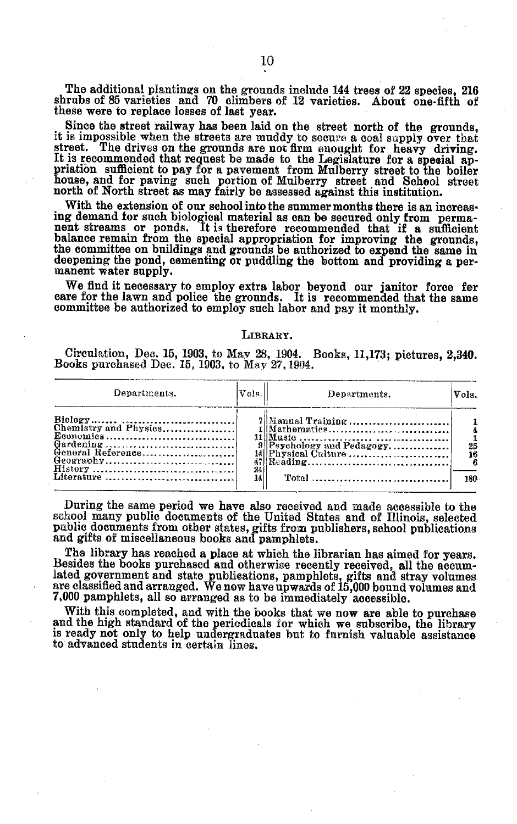The additional plantings on the grounds include 144 trees of 22 species, 216 shrubs of 85 varieties and 70 climbers of 12 varieties. About one-fifth of these were to replace losses of last year.

Since the street railway has been laid on the street north of the grounds, it is impossible when the streets are muddy to secure a coal supply over that Freet. The drives on the grounds are not firm emoty to be an experiment.<br>It is recommended that request be made to the Legislature for a special appriation sufficient to pay for a pavement from Mulberry street to the boile

ing demand for such biological material as can be secured only from permanent streams or ponds. It is therefore recommended that if a sufficient balance remain from the special appropriation for improving the grounds, the deepening the pond, cementing or puddling the bottom and providing a per-manent water supply.

We find it necessary to employ extra labor beyond our janitor force for care for the lawn and police the grounds. It is recommended that the same committee be authorized to employ such labor and pay it monthly.

#### **LIBRARY.**

Circulation, Dee. 15, 1903, to May 28, 1904. Books, 11,173; pictures, 2,340. Books purchased Dec. 15, 1903, to May 27, 1904.

| Departments.      | Vols.l          | Departments. | Vols.      |
|-------------------|-----------------|--------------|------------|
| General Reference | $\frac{24}{14}$ |              | 25<br>180. |

During the same period we have also received and made accessible to the school many public documents of the United States and of Illinois, selected public documents from other states, gifts from publishers, school publicat

The library has reached a place at which the librarian has aimed for years. Besides the books purchased and otherwise recentl rerceived, all the accumlated government and state publications, pamphlets, gifts and stray volumes are classified and arranged. We now have upwards of 15,000 bound volumes and 7,000 pamphlets, all so arranged as to be immediately accessible.

With this completed, and with the books that we now are able to purchase<br>and the high standard of the periodicals for which we subscribe, the library<br>is ready not only to help undergraduates but to furnish valuable assista to advanced students in certain lines.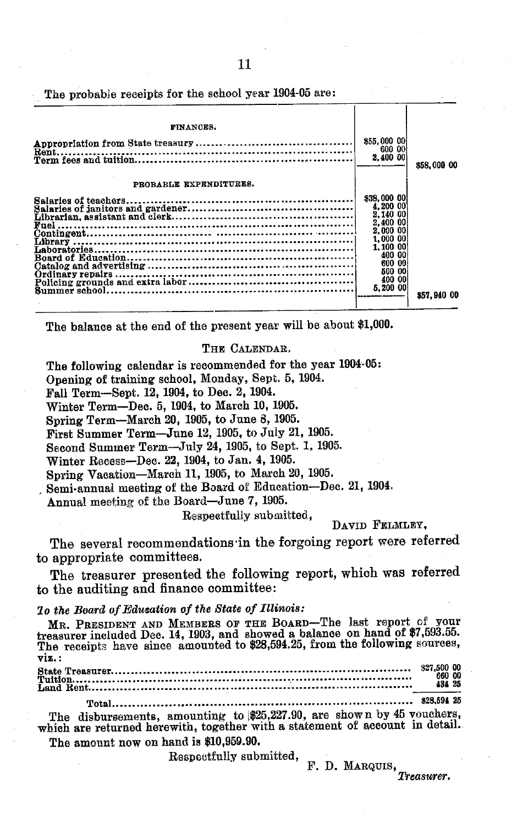The probable receipts for the school year 1904-05 are:

| FINANCES.              |                                                                                                                                                         |             |
|------------------------|---------------------------------------------------------------------------------------------------------------------------------------------------------|-------------|
|                        | \$55,000 00<br>600 00<br>2,400 00                                                                                                                       | \$58,000 00 |
| PROBABLE EXPENDITURES. |                                                                                                                                                         |             |
|                        | \$38,000 00<br>4,200 00<br>2,140 00<br>2,400 00<br>2,000 00<br>1,000<br>-00<br>1.100<br>-00<br>400<br>m<br>600<br>-08<br>500<br>m<br>400 00<br>5.200 00 | 857.940 00  |

The balance at the end of the present year will be about \$1,000.

#### THE CALENDAR.

The following calendar is recommended for the year 1904-05:

Opening of training school, Monday, Sept. 5, 1904.

Fall Term-Sept. 12, 1904, to Dec. 2, 1904.

Winter Term-Dec. 5, 1904, to March 10, 1905.

Spring Term-March 20, 1905, to June 8, 1905.

First Summer Term-June 12, 1905, to July 21, 1905.

Second Summer Term-July 24, 1905, to Sept. 1, 1905.

Winter Recess-Dec. 22, 1904, to Jan. 4, 1905.

Spring Vacation-March 11, 1905, to March 20, 1905.

Semi-annual meeting of the Board of Education-Dec. 21, 1904.

Annual meeting of the Board-June 7, 1905.

### Respeetfully submitted,

DAVID FELMLEY,

The several recommendations in the forgoing report were referred to appropriate committees.

The treasurer presented the following report, which was referred to the auditing and finance committee:

#### *lo the Board of Education of the State of Illinois:*

MR. PRESIDENT AND MEMBERS OF THE BOARD-The last report of your treasurer included Dec. 14, 1903, and showed a balance on hand of \$7,593.55. The receipts have since amounted to \$28,594.25, from the following sources, viz.:

| 660 00<br>434 25 |  |
|------------------|--|
|                  |  |
|                  |  |

The disbursements, amounting to  $$25,227.90$ , are shown by 45 vouchers which are returned herewith, together with a statement of account in detail. The amount now on hand is \$10,959.90.

Respectfully submitted,

F. D. MARQUIS, *Treasurer.*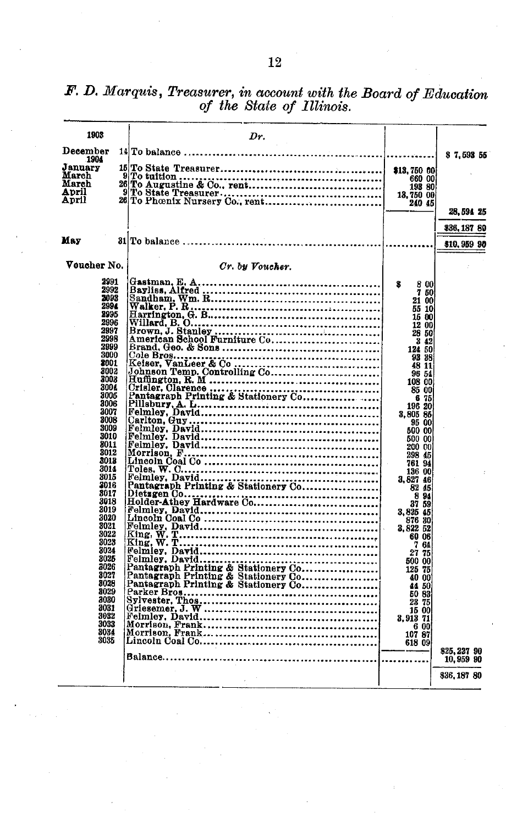| 1903            | Dr.                                                                                                                                                                                                                            |                                                  |                    |
|-----------------|--------------------------------------------------------------------------------------------------------------------------------------------------------------------------------------------------------------------------------|--------------------------------------------------|--------------------|
| December        |                                                                                                                                                                                                                                |                                                  | \$7.593 55         |
| 1904<br>January |                                                                                                                                                                                                                                |                                                  |                    |
| March           |                                                                                                                                                                                                                                | \$13,750 00                                      |                    |
| March           |                                                                                                                                                                                                                                | 193 80                                           |                    |
| April           |                                                                                                                                                                                                                                | 13,750 00                                        |                    |
| April           |                                                                                                                                                                                                                                | 240 45                                           |                    |
|                 |                                                                                                                                                                                                                                |                                                  | 28,594 25          |
| May             |                                                                                                                                                                                                                                |                                                  | <b>\$36,187 80</b> |
|                 |                                                                                                                                                                                                                                |                                                  | \$10,959 90        |
| Voucher No.     | Cr. by Voucher.                                                                                                                                                                                                                |                                                  |                    |
| 2991            |                                                                                                                                                                                                                                | 8                                                |                    |
| 2992<br>2893    |                                                                                                                                                                                                                                | $\begin{array}{cc} 8 & 00 \\ 7 & 50 \end{array}$ |                    |
| 2994            |                                                                                                                                                                                                                                | 21 00                                            |                    |
| 2995            |                                                                                                                                                                                                                                | 55 10                                            |                    |
| 2996            |                                                                                                                                                                                                                                | 15 00<br>12 00                                   |                    |
| 2997            |                                                                                                                                                                                                                                | 28 50                                            |                    |
| 2998            |                                                                                                                                                                                                                                | 3 42                                             |                    |
| 2999            |                                                                                                                                                                                                                                | 124 50                                           |                    |
| 3000            |                                                                                                                                                                                                                                | 93 38                                            |                    |
| 2001<br>3002    |                                                                                                                                                                                                                                | 48 11                                            |                    |
| 3003            |                                                                                                                                                                                                                                | 96 54                                            |                    |
| 300£            | Consider the contract of the contract of the contract of the contract of the contract of the contract of the contract of the contract of the contract of the contract of the contract of the contract of the contract of the c | 108 00                                           |                    |
| 3006            |                                                                                                                                                                                                                                | 85 00                                            |                    |
| 3006            |                                                                                                                                                                                                                                | 675<br>196 20                                    |                    |
| 3007            |                                                                                                                                                                                                                                | 3.805 85                                         |                    |
| 3008            |                                                                                                                                                                                                                                | 95 00                                            |                    |
| 3009            |                                                                                                                                                                                                                                | 600 00                                           |                    |
| 3010            |                                                                                                                                                                                                                                | 500 00                                           |                    |
| 8011            |                                                                                                                                                                                                                                | 200 00                                           |                    |
| 3012<br>3013    |                                                                                                                                                                                                                                | 298 45<br>761 94                                 |                    |
| 3014            |                                                                                                                                                                                                                                |                                                  |                    |
| 3015            |                                                                                                                                                                                                                                | 136 00                                           |                    |
| 3016            |                                                                                                                                                                                                                                | 3.827 46                                         |                    |
| 3017            |                                                                                                                                                                                                                                | 82 45                                            |                    |
| 3018            |                                                                                                                                                                                                                                | $\begin{array}{c}\n 894 \\ 3759\n\end{array}$    |                    |
| 3019            |                                                                                                                                                                                                                                | 3,825 45                                         |                    |
| 3020            |                                                                                                                                                                                                                                |                                                  |                    |
| 3021            |                                                                                                                                                                                                                                | 876 30                                           |                    |
| 3022            |                                                                                                                                                                                                                                | 60 06                                            |                    |
| 3023<br>3024    |                                                                                                                                                                                                                                | 764                                              |                    |
| 3025            |                                                                                                                                                                                                                                | 27 75                                            |                    |
| 3026            |                                                                                                                                                                                                                                | 500 00                                           |                    |
| 3027            | Pantagraph Printing & Stationery Communications.                                                                                                                                                                               | 125 75<br>40 00                                  |                    |
| 3028            |                                                                                                                                                                                                                                | 44 50                                            |                    |
| 8029            |                                                                                                                                                                                                                                | 50 83                                            |                    |
| 3030            |                                                                                                                                                                                                                                | 23 75                                            |                    |
| 3031            |                                                                                                                                                                                                                                | 15 00                                            |                    |
| 3082            |                                                                                                                                                                                                                                | 3,913 71                                         |                    |
| 3033            |                                                                                                                                                                                                                                | 6 00                                             |                    |
| 3034            |                                                                                                                                                                                                                                | 107 87                                           |                    |
| 3035            |                                                                                                                                                                                                                                | 618 09                                           |                    |
|                 |                                                                                                                                                                                                                                |                                                  | \$25,227 90        |
|                 |                                                                                                                                                                                                                                |                                                  | 10,959 90          |
|                 |                                                                                                                                                                                                                                |                                                  | \$36,187 80        |
|                 |                                                                                                                                                                                                                                |                                                  |                    |

*F. D. Marquis, Treasurer, in account with the Board of Education of the State of Illinois.*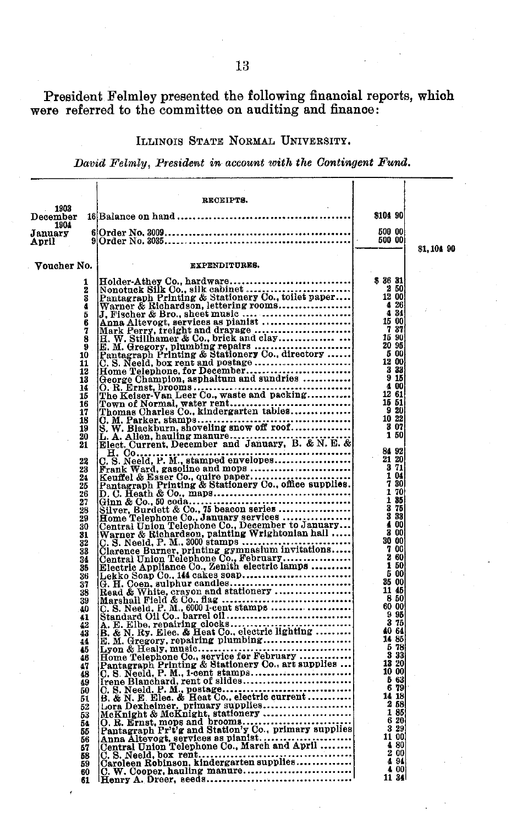President Felmley presented the following financial reports, which were referred to the committee on auditing and finance

#### ILLINOIS STATE NORMAL UNIVERSITY.

*David Feltmly, President in account with the Contingent Fund.*

| 1903                 | RECEIPTS.     |                                                                                                                                                                                                                                                                                                                               |            |
|----------------------|---------------|-------------------------------------------------------------------------------------------------------------------------------------------------------------------------------------------------------------------------------------------------------------------------------------------------------------------------------|------------|
| December<br>1904     |               | \$104 90                                                                                                                                                                                                                                                                                                                      |            |
| January              |               | 500 00<br>500 00                                                                                                                                                                                                                                                                                                              |            |
| April                |               |                                                                                                                                                                                                                                                                                                                               | \$1,104 90 |
| Voucher No.          | EXPENDITURES. |                                                                                                                                                                                                                                                                                                                               |            |
|                      |               | \$3631                                                                                                                                                                                                                                                                                                                        |            |
| 2<br>ā               |               | 250<br>12 00                                                                                                                                                                                                                                                                                                                  |            |
| į.                   |               | $\frac{4}{4}$ $\frac{26}{34}$                                                                                                                                                                                                                                                                                                 |            |
| Б<br>6               |               | 15 00                                                                                                                                                                                                                                                                                                                         |            |
| 7                    |               | 737<br>15 90                                                                                                                                                                                                                                                                                                                  |            |
| 8<br>9               |               | 20 95                                                                                                                                                                                                                                                                                                                         |            |
| 10<br>11             |               |                                                                                                                                                                                                                                                                                                                               |            |
| 12                   |               |                                                                                                                                                                                                                                                                                                                               |            |
| 13<br>14             |               | $\begin{smallmatrix} 5 & 0 & 0 & 0 \\ 12 & 3 & 3 & 0 \\ 3 & 3 & 15 & 0 \\ 4 & 0 & 6 & 1 \\ 12 & 6 & 1 & 0 \\ 16 & 6 & 1 & 0 \\ 18 & 6 & 1 & 0 \\ 19 & 6 & 1 & 0 \\ 10 & 6 & 1 & 0 \\ 11 & 6 & 1 & 0 \\ 12 & 6 & 1 & 0 \\ 13 & 6 & 1 & 0 \\ 14 & 6 & 1 & 0 \\ 15 & 6 & 1 & 0 \\ 16 & 6 & 1 & 0 \\ 18 & 6 & 1 & 0 \\ 19 & 6 & $ |            |
| 15<br>16             |               | 15 51                                                                                                                                                                                                                                                                                                                         |            |
| 17                   |               | 920<br>10 22                                                                                                                                                                                                                                                                                                                  |            |
| 18<br>19             |               | $\begin{array}{c} 3 & 07 \\ 1 & 50 \end{array}$                                                                                                                                                                                                                                                                               |            |
| 20<br>21             |               |                                                                                                                                                                                                                                                                                                                               |            |
|                      |               | 84 92<br>21 20                                                                                                                                                                                                                                                                                                                |            |
| 22<br>23             |               | 371                                                                                                                                                                                                                                                                                                                           |            |
| 24<br>25             |               | 1 04                                                                                                                                                                                                                                                                                                                          |            |
|                      |               | $\frac{7}{1}$ $\frac{30}{70}$                                                                                                                                                                                                                                                                                                 |            |
| 26<br>27<br>28<br>29 |               | $\frac{1}{3}\frac{35}{75}$                                                                                                                                                                                                                                                                                                    |            |
|                      |               | 4 00                                                                                                                                                                                                                                                                                                                          |            |
| 30<br>31             |               | 3 00                                                                                                                                                                                                                                                                                                                          |            |
| 32<br>33             |               | 30 00<br>$\frac{7}{2}$ 60                                                                                                                                                                                                                                                                                                     |            |
| 34                   |               | 1 50                                                                                                                                                                                                                                                                                                                          |            |
| 35<br>36             |               | 5 00                                                                                                                                                                                                                                                                                                                          |            |
| 37<br>38             |               | - 35 00<br>11 45                                                                                                                                                                                                                                                                                                              |            |
| 39                   |               | 850<br>60 00                                                                                                                                                                                                                                                                                                                  |            |
| 40<br>41             |               | 9 95                                                                                                                                                                                                                                                                                                                          |            |
| 42<br>43             |               | 375<br>40 64                                                                                                                                                                                                                                                                                                                  |            |
| 44                   |               | 14 85<br>578                                                                                                                                                                                                                                                                                                                  |            |
| 45<br>46             |               | 3 3 3                                                                                                                                                                                                                                                                                                                         |            |
| 47<br>48             |               | 13 20<br>10 00                                                                                                                                                                                                                                                                                                                |            |
| 49                   |               | 563<br>6 79                                                                                                                                                                                                                                                                                                                   |            |
| 50<br>51             |               | 14 18                                                                                                                                                                                                                                                                                                                         |            |
| 52<br>53             |               | 2 58<br>185                                                                                                                                                                                                                                                                                                                   |            |
| 54                   |               | 6 20                                                                                                                                                                                                                                                                                                                          |            |
| 55                   |               | 3 29<br>11 00                                                                                                                                                                                                                                                                                                                 |            |
| 56<br>57<br>58       |               | 480<br>200                                                                                                                                                                                                                                                                                                                    |            |
| 59                   |               | 4 94<br>4 00                                                                                                                                                                                                                                                                                                                  |            |
| 60<br>61             |               | 11 34                                                                                                                                                                                                                                                                                                                         |            |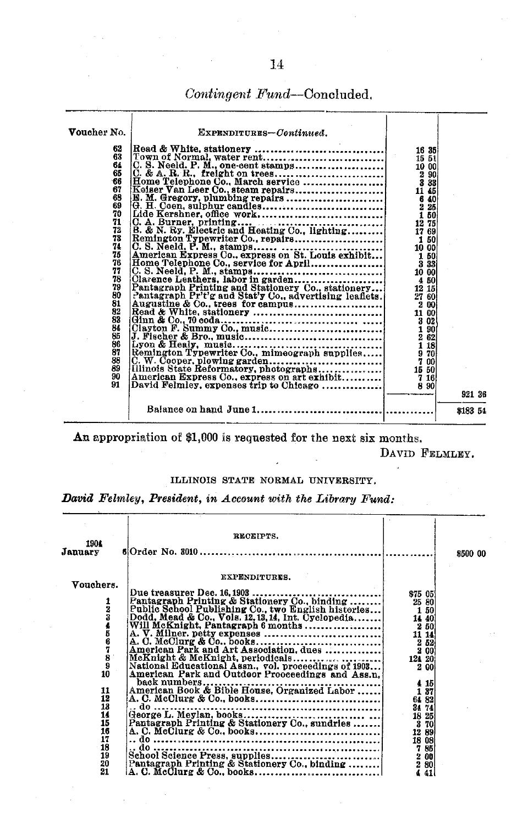*Contingent* Fund--Concluded.

| Voucher No.<br>62<br>63<br>64<br>65<br>66<br>67<br>68<br>69<br>70<br>$71^{\circ}$<br>72<br>73<br>74<br>75<br>76<br>77<br>78<br>79<br>80<br>81<br>82<br>83<br>84<br>85<br>86<br>87<br>88<br>89<br>90<br>91 | EXPENDITURES-Continued.<br>$\begin{tabular}{ l l l } \hline \textit{1.0.8} & \textit{1.0.1} & \textit{1.0.1} & \textit{1.0.1} & \textit{1.0.1} & \textit{1.0.1} & \textit{1.0.1} & \textit{1.0.1} & \textit{1.0.1} & \textit{1.0.1} & \textit{1.0.1} & \textit{1.0.1} & \textit{1.0.1} & \textit{1.0.1} & \textit{1.0.1} & \textit{1.0.1} & \textit{1.0.1} & \textit{1.0.1} & \textit{1$ | 921 36   |
|-----------------------------------------------------------------------------------------------------------------------------------------------------------------------------------------------------------|------------------------------------------------------------------------------------------------------------------------------------------------------------------------------------------------------------------------------------------------------------------------------------------------------------------------------------------------------------------------------------------|----------|
|                                                                                                                                                                                                           |                                                                                                                                                                                                                                                                                                                                                                                          | \$183 54 |

An appropriation of \$1,000 is requested for the next six months.

DAVID FELMLEY.

#### ILLINOIS STATE NORMAL UNIVERSITY,

*David Felmley, President, in Account with the Library Fund:*

| 1904<br>January                                                                                                    | RECEIPTS.                                                                                                                                                                                                                                                                                                                                                                                                                                        |                                                   | \$500 00 |
|--------------------------------------------------------------------------------------------------------------------|--------------------------------------------------------------------------------------------------------------------------------------------------------------------------------------------------------------------------------------------------------------------------------------------------------------------------------------------------------------------------------------------------------------------------------------------------|---------------------------------------------------|----------|
| Vouchers.<br>123456789<br>10<br>11<br>$\overline{12}$<br>$\frac{13}{14}$<br>15<br>16<br>17<br>18<br>19<br>20<br>21 | <b>EXPENDITURES.</b><br>National Educational Assn., vol. proceedings of 1903<br>American Park and Outdoor Proceedings and Ass.n.<br>$\begin{array}{ c c c c c c c c } \hline \text{785} & \text{86} & \text{785} \\ \hline \text{School Science Press, supplies} & \text{200} & \text{200} \\ \text{Rantagrandx} & \text{200} & \text{201} & \text{201} \\ \text{184} & \text{120} & \text{202} & \text{203} & \text{204} \\ \hline \end{array}$ | \$75 05<br>2 00<br>4 15<br>1 37<br>64 82<br>34 74 |          |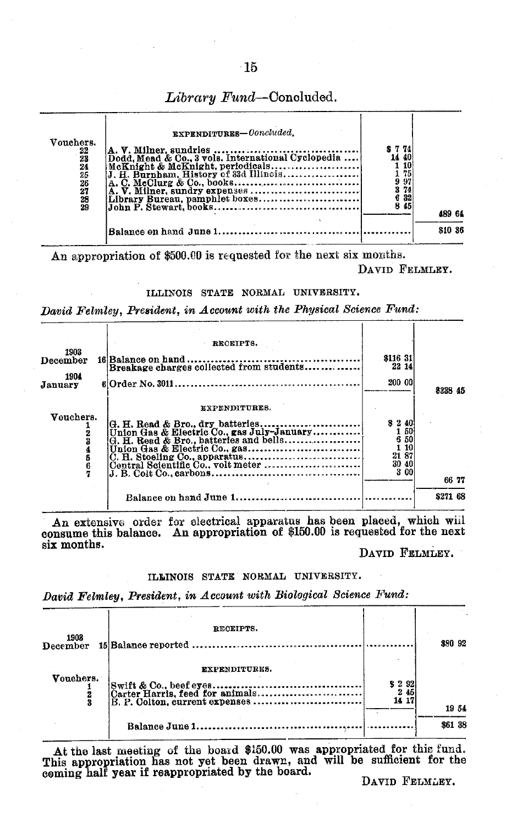| Vouchers.<br>$\frac{22}{23}$<br>24<br>25<br>$\frac{26}{27}$<br>28<br>29 | EXPENDITURES-Concluded.<br>McKnight & McKnight, periodicals | S 7 74<br>40<br>10<br>175<br>97<br>74<br>32<br>45<br>8 | 489 64  |
|-------------------------------------------------------------------------|-------------------------------------------------------------|--------------------------------------------------------|---------|
|                                                                         |                                                             |                                                        | \$10 36 |

*Library Fund-Concluded.*

An appropriation of \$500.00 is requested for the next six months. DAVID FELMLEY.

#### ILLINOIS STATE NORMAL UNIVERSITY.

*David Felmley, President, in Account with the Physical Science Fund:*

| 1903<br>December<br>1904<br>January | RECEIPTS.<br>Breakage charges collected from students                                                                                                                                                                                                                                                                                          | \$116 31<br>22 14<br>200 00                                 | 8338 45  |
|-------------------------------------|------------------------------------------------------------------------------------------------------------------------------------------------------------------------------------------------------------------------------------------------------------------------------------------------------------------------------------------------|-------------------------------------------------------------|----------|
| Vouchers.                           | EXPENDITURES.<br>Union Gas & Electric Co., gas July-January<br>$\left[\widetilde{G}, \widetilde{H}, \text{Read & Bro.}, \text{batteries and balls} \dots \dots \dots \dots \dots \dots \right]$<br>Union Gas & Electric Co., gas<br>$J. B. \text{Colt Co.,} \text{carbons.} \dots \dots \dots \dots \dots \dots \dots \dots \dots \dots \dots$ | \$240<br>50<br>6<br>50<br>1 10<br>21 87<br>30<br>40<br>3 00 | 66 77    |
|                                     |                                                                                                                                                                                                                                                                                                                                                |                                                             | \$271 68 |

An extensive order for electrical apparatus has been placed, which will consume this balance. An appropriation of \$150.00 is requested for the next six months.

DAVID FELMLEY.

#### ILINOIS STATE NORMAL UNIVERSITY.

*David Felmley, President, in Account with Biological Science Fund:*

| 1903<br>December | RECEIPTS.                      |              | \$80 92 |
|------------------|--------------------------------|--------------|---------|
|                  |                                |              |         |
|                  | EXPENDITURES.                  |              |         |
| Vouchers.        |                                | \$ 2 9 2     |         |
|                  | B. P. Colton. current expenses | 245<br>14 17 |         |
|                  |                                |              | 1954    |
|                  |                                |              | \$61 38 |

At the last meeting of the board \$150.00 was appropriated for this fund. This appropriation has not yet been drawn, and will be sufficient for the coming half year if reappropriated by the board.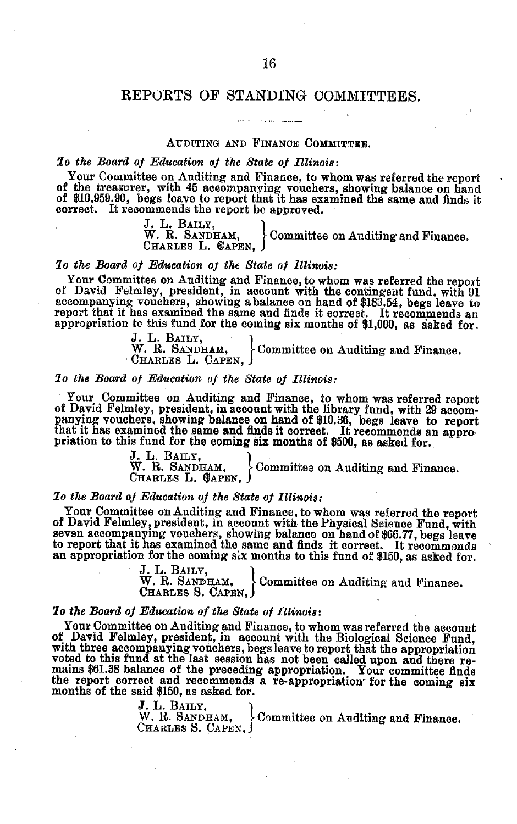#### REPORTS OF STANDING COMMITTEES.

#### AUDITING AND FINANCE COMMITTEE.

*lo the Board of Education of the State of Illinois:* of the treasurer, with 45 accompanying vouchers, showing balance on hand of \$10,959.90, begs leave to report that it has examined the same and finds it correct. It recommends the report be approved.

> J. L. BAILY,<br>W. R. SANDHAM, Committee on Auditing and Finance. CHARLES L. CAPEN.

#### *lo the Board of Education of the State of Illinois:*

Your Committee on Auditing and Finance, to whom was referred the report of David Felmley, president, in account with the contingent fund, with 91 accompanying vouchers, showing a balance on hand of \$183.54, begs leave to r

J. L. Baily,<br>W. R. Sandh**am**, Committee on Auditing and Finance. CHARLES L. **CAPEN,**

#### *lo the Board of Education of the State of Illinois:*

Your Committee on Auditing and Finance, to whom was referred report of David Felmley, president, in account with the library fund, with 29 accompany rouchers, showing balance on hand of \$10.36, begs leave to report that it

J. L. BAILY, Committee on Auditing and Finance. CHARLES L. CAPEN,

*lo the Board of Education of the State of Illinois:* of David Felmley, president, in account with the Physical Science Fund, with seven accompanying vouchers, showing balance on hand of \$66.77, begs leave<br>to report that it has examined the same and finds it correct. It recommends<br>an appropriation for the coming six months to this fund of \$150, as ask

> J. L. Baily,<br>W. R. Sandham, Committee on Auditing and Finance. CHARLES S. CAPEN,

*lo the Board of Education of the State of Illinois:* Follow control and relative out and relatively president, in account with the Biological Science Fund,<br>with three accompanying vouchers, begs leave to report that the appropriation<br>voted to this fund at the last session ha the report correct and recommends a re-appropriation- for the coming six months of the said \$150, as asked for.

> J. L. BAILY,  $\vert$  W. R. SANDHAM,  $\vert$  Committee on Auditing and Finance. CHARLES S. CAPEN,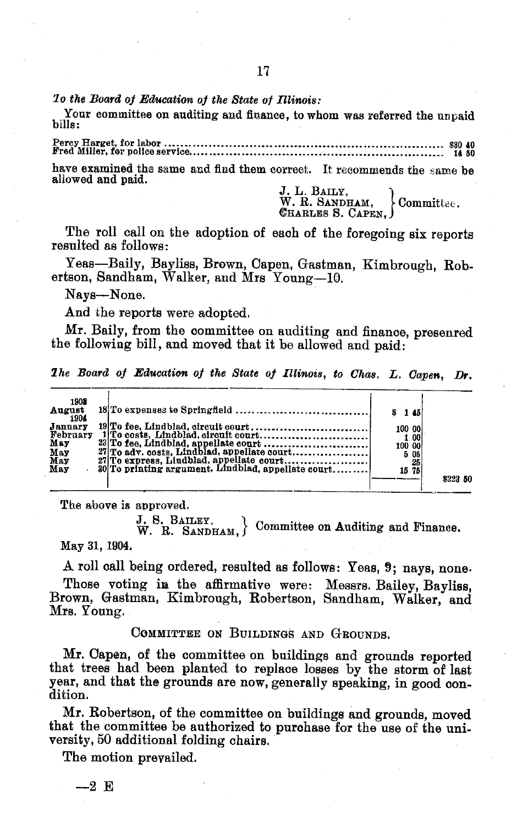*lo the Board of Education of the State of Illinois:*

Your committee on auditing and finance, to whom was referred the unpaid bills:

Percy Harget, for labor ........................... .... .. ... .................... . \$0 40 Fred Miller, for police service ....... ....................................................... 14 50

have examined the same and find them correct. It recommends the same be allowed and paid.

J. L. BAILY,<br>W. R. SANDHAM, Committee<br>CHARLES S. CAPEN, COMMITTEE

The roll call on the adoption of each of the foregoing six reports resulted as follows:

Yeas-Baily, Bayliss, Brown, Capen, Gastman, Kimbrough, Robertson, Sandham, Walker, and Mrs Young-10.

Nays-None.

And the reports were adopted.

Mr. Baily, from the committee on auditing and finance, presenred the following bill, and moved that it be allowed and paid:

*The Board of Education of the State of Illinois, to Chas. L. Capen, Dr.* 

| 1908<br>August<br>1904<br>January<br>February<br>May<br>May<br>May<br>May | 19 To fee, Lindblad, circuit court,<br>30 To printing argument, Lindblad, appellate court | S 1451<br>100 00<br>100 00<br>15 75 | 1 00<br>5 05<br>25 | 8223 50 |  |
|---------------------------------------------------------------------------|-------------------------------------------------------------------------------------------|-------------------------------------|--------------------|---------|--|
|                                                                           |                                                                                           |                                     |                    |         |  |

The above is approved.

J. S. BAILEY,  $W.$  R. SANDHAM,  $\}$  Committee on Auditing and Finance.

May 31, 1904.

A roll call being ordered, resulted as follows: Yeas, 9; nays, none.

Those voting in the affirmative were: Messrs. Bailey, Bayliss, Brown, Gastman, Kimbrough, Robertson, Sandham, Walker, and Mrs. Young.

COMMITTEE ON BUILDINGS AND GROUNDS.

Mr. Capen, of the committee on buildings and grounds reported that trees had been planted to replace losses by the storm of last year, and that the grounds are now, generally speaking, in good condition.

Mr. Robertson, of the committee on buildings and grounds, moved that the committee be authorized to purchase for the use of the university, 50 additional folding chairs.

The motion prevailed.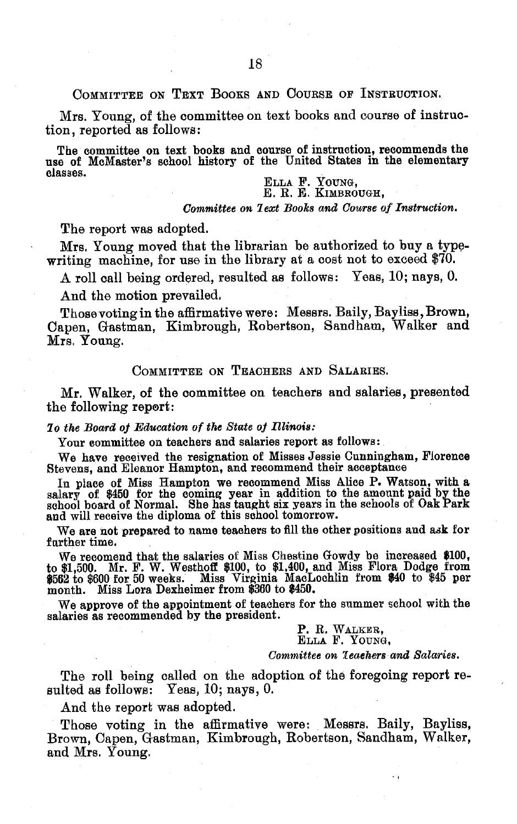#### COMMITTEE ON TEXT BOOKS AND COURSE OF INSTRUCTION.

Mrs. Young, of the committee on text books and course of instruction, reported as follows:

The committee on text books and course of instruction, recommends the use of MeMaster's school history of the United States in the elementary classes.

ELLA F. YOUNG, E. R. E. KIMBROUGH,

*Committee on lext Books and Course of Instruction.*

The report was adopted.

Mrs. Young moved that the librarian be authorized to buy a typewriting machine, for use in the library at a cost not to exceed \$70.

A roll call being ordered, resulted as follows: Yeas, 10; nays, 0.

And the motion prevailed.

Those voting in the affirmative were: Messrs. Baily, Bayliss, Brown, Capen, Gastman, Kimbrough, Robertson, Sandham, Walker and Mrs. Young.

COMMITTEE ON TEACHERS AND SALARIES.

Mr. Walker, of the committee on teachers and salaries, presented the following report:

#### *lo the Board of Education of the State of Illinois:*

Your committee on teachers and salaries report as follows:

We have received the resignation of Misses Jessie Cunningham, Florence Stevens, and Eleanor Hampton, and recommend their acceptance

In place of Miss Hampton we recommend Miss Alice P. Watson, with a salary of \$450 for the coming year in addition to the amount paid by the school board of Normal. She has taught six years in the schools of Oak Park and will receive the diploma of this school tomorrow.

We are not prepared to name teachers to fill the other positions and ask for farther time.

We recomend that the salaries of Miss Chestine Gowdy be increased \$100, to \$1,500. Mr. F. W. Westhoff \$100, to \$1,400, and Miss Flora Dodge from \$562 to \$600 for 50 weeks. Miss Virginia MacLochlin from \$40 to \$45 per month. Miss Lora Dexheimer from \$360 to \$450.

We approve of the appointment of teachers for the summer school with the salaries as recommended by the president.

> P. R. WALKER, ELLA F. YOUNG,

*Committee on 7eaehers and Salaries.*

The roll being called on the adoption of the foregoing report resulted as follows: Yeas, 10; nays, 0.

And the report was adopted.

Those voting in the affirmative were: Messrs. Baily, Bayliss, Brown, Capen, Gastman, Kimbrough, Robertson, Sandham, Walker, and Mrs. Young.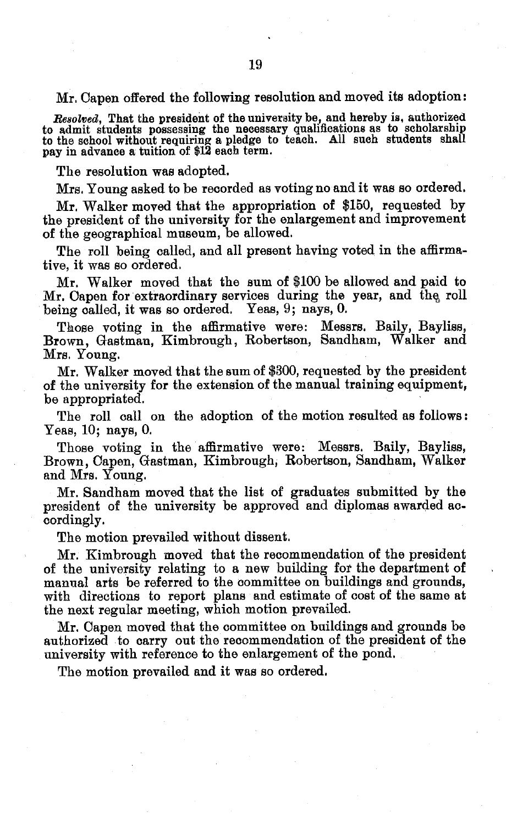Mr. Capen offered the following resolution and moved its adoption:

Resolved, That the president of the university be, and hereby is, authorized<br>to admit students possessing the necessary qualifications as to scholarship<br>to the school without requiring a pledge to teach. All such students

The resolution was adopted.

Mrs. Young asked to be recorded as voting no and it was so ordered.

Mr. Walker moved that the appropriation of \$150, requested by the president of the university for the enlargement and improvement of the geographical museum, be allowed.

The roll being called, and all present having voted in the affirmative, it was so ordered.

Mr. Walker moved that the sum of \$100 be allowed and paid to Mr. Capen for extraordinary services during the year, and the roll being called, it was so ordered. Yeas, 9; nays, 0.

Those voting in the affirmative were: Messrs. Baily, Bayliss, Brown, Gastman, Kimbrough, Robertson, Sandham, Walker and Mrs. Young.

Mr. Walker moved that the sum of \$300, requested by the president of the university for the extension of the manual training equipment, be appropriated.

The roll call on the adoption of the motion resulted as follows: Yeas, 10; nays, 0.

Those voting in the affirmative were: Messrs. Baily, Bayliss, Brown, Capen, Gastman, Kimbrough, Robertson, Sandham, Walker and Mrs. Young.

Mr. Sandham moved that the list of graduates submitted by the president of the university be approved and diplomas awarded accordingly.

The motion prevailed without dissent.

Mr. Kimbrough moved that the recommendation of the president of the university relating to a new building for the department of manual arts be referred to the committee on buildings and grounds, with directions to report plans and estimate of cost of the same at the next regular meeting, which motion prevailed.

Mr. Capen moved that the committee on buildings and grounds be authorized to carry out the recommendation of the president of the university with reference to the enlargement of the pond.

The motion prevailed and it was so ordered.